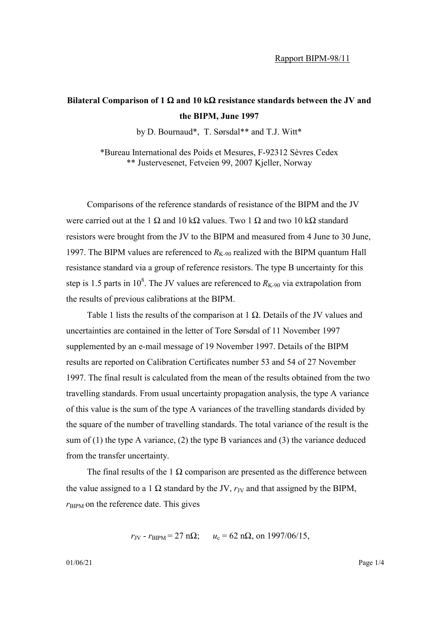## **Bilateral Comparison of 1** Ω **and 10 k**Ω **resistance standards between the JV and the BIPM, June 1997**

by D. Bournaud\*, T. Sørsdal\*\* and T.J. Witt\*

\*Bureau International des Poids et Mesures, F-92312 Sèvres Cedex \*\* Justervesenet, Fetveien 99, 2007 Kjeller, Norway

Comparisons of the reference standards of resistance of the BIPM and the JV were carried out at the 1  $\Omega$  and 10 k $\Omega$  values. Two 1  $\Omega$  and two 10 k $\Omega$  standard resistors were brought from the JV to the BIPM and measured from 4 June to 30 June, 1997. The BIPM values are referenced to  $R_{K-90}$  realized with the BIPM quantum Hall resistance standard via a group of reference resistors. The type B uncertainty for this step is 1.5 parts in 10<sup>8</sup>. The JV values are referenced to  $R_{K-90}$  via extrapolation from the results of previous calibrations at the BIPM.

Table 1 lists the results of the comparison at  $1 \Omega$ . Details of the JV values and uncertainties are contained in the letter of Tore Sørsdal of 11 November 1997 supplemented by an e-mail message of 19 November 1997. Details of the BIPM results are reported on Calibration Certificates number 53 and 54 of 27 November 1997. The final result is calculated from the mean of the results obtained from the two travelling standards. From usual uncertainty propagation analysis, the type A variance of this value is the sum of the type A variances of the travelling standards divided by the square of the number of travelling standards. The total variance of the result is the sum of (1) the type A variance, (2) the type B variances and (3) the variance deduced from the transfer uncertainty.

The final results of the 1  $\Omega$  comparison are presented as the difference between the value assigned to a 1  $\Omega$  standard by the JV,  $r_{\text{JV}}$  and that assigned by the BIPM,  $r_{\text{BIPM}}$  on the reference date. This gives

$$
r_{\text{JV}} - r_{\text{BIPM}} = 27 \text{ n}\Omega
$$
;  $u_c = 62 \text{ n}\Omega$ , on 1997/06/15,

01/06/21 **Page 1/4**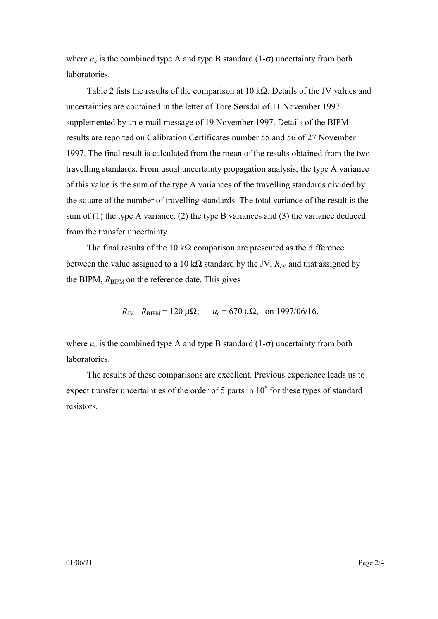where  $u_c$  is the combined type A and type B standard (1- $\sigma$ ) uncertainty from both laboratories.

Table 2 lists the results of the comparison at 10 k $\Omega$ . Details of the JV values and uncertainties are contained in the letter of Tore Sørsdal of 11 November 1997 supplemented by an e-mail message of 19 November 1997. Details of the BIPM results are reported on Calibration Certificates number 55 and 56 of 27 November 1997. The final result is calculated from the mean of the results obtained from the two travelling standards. From usual uncertainty propagation analysis, the type A variance of this value is the sum of the type A variances of the travelling standards divided by the square of the number of travelling standards. The total variance of the result is the sum of (1) the type A variance, (2) the type B variances and (3) the variance deduced from the transfer uncertainty.

The final results of the 10 k $\Omega$  comparison are presented as the difference between the value assigned to a 10 kΩ standard by the JV,  $R_{\text{JV}}$  and that assigned by the BIPM,  $R_{\text{BIPM}}$  on the reference date. This gives

 $R_{\text{JV}}$  -  $R_{\text{BIPM}}$  = 120  $\mu\Omega$ ;  $u_c$  = 670  $\mu\Omega$ , on 1997/06/16,

where  $u_c$  is the combined type A and type B standard (1- $\sigma$ ) uncertainty from both laboratories.

The results of these comparisons are excellent. Previous experience leads us to expect transfer uncertainties of the order of 5 parts in  $10^8$  for these types of standard resistors.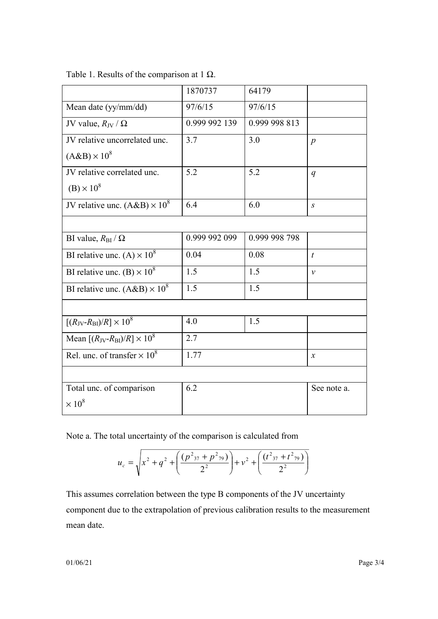|                                                        | 1870737       | 64179         |                            |
|--------------------------------------------------------|---------------|---------------|----------------------------|
| Mean date (yy/mm/dd)                                   | 97/6/15       | 97/6/15       |                            |
| JV value, $R_{\rm{JV}}$ / $\Omega$                     | 0.999 992 139 | 0.999 998 813 |                            |
| JV relative uncorrelated unc.                          | 3.7           | 3.0           | $\boldsymbol{p}$           |
| $(AB) \times 10^8$                                     |               |               |                            |
| JV relative correlated unc.                            | 5.2           | 5.2           | q                          |
| $(B) \times 10^8$                                      |               |               |                            |
| JV relative unc. $(A&B) \times 10^8$                   | 6.4           | 6.0           | $\boldsymbol{S}$           |
|                                                        |               |               |                            |
| BI value, $R_{\text{BI}} / \Omega$                     | 0.999 992 099 | 0.999 998 798 |                            |
| BI relative unc. (A) $\times$ 10 <sup>8</sup>          | 0.04          | 0.08          | $\boldsymbol{t}$           |
| BI relative unc. $(B) \times 10^8$                     | 1.5           | 1.5           | $\mathcal{V}$              |
| BI relative unc. $(A&B) \times 10^8$                   | 1.5           | 1.5           |                            |
|                                                        |               |               |                            |
| $[(R_{\text{JV}} - R_{\text{BI}})/R] \times 10^8$      | 4.0           | 1.5           |                            |
| Mean $[(R_{\text{JV}} - R_{\text{BI}})/R] \times 10^8$ | 2.7           |               |                            |
| Rel. unc. of transfer $\times$ 10 <sup>8</sup>         | 1.77          |               | $\boldsymbol{\mathcal{X}}$ |
|                                                        |               |               |                            |
| Total unc. of comparison                               | 6.2           |               | See note a.                |
| $\times 10^8$                                          |               |               |                            |

Table 1. Results of the comparison at 1  $\Omega$ .

Note a. The total uncertainty of the comparison is calculated from

$$
u_c = \sqrt{x^2 + q^2 + \left(\frac{(p^2_{37} + p^2_{79})}{2^2}\right) + v^2 + \left(\frac{(t^2_{37} + t^2_{79})}{2^2}\right)}
$$

This assumes correlation between the type B components of the JV uncertainty component due to the extrapolation of previous calibration results to the measurement mean date.